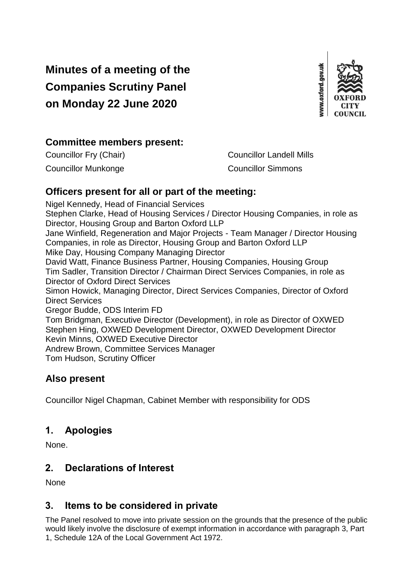# **Minutes of a meeting of the Companies Scrutiny Panel on Monday 22 June 2020**



# **Committee members present:**

Councillor Fry (Chair) Councillor Landell Mills Councillor Munkonge Councillor Simmons

# **Officers present for all or part of the meeting:**

Nigel Kennedy, Head of Financial Services Stephen Clarke, Head of Housing Services / Director Housing Companies, in role as Director, Housing Group and Barton Oxford LLP Jane Winfield, Regeneration and Major Projects - Team Manager / Director Housing Companies, in role as Director, Housing Group and Barton Oxford LLP Mike Day, Housing Company Managing Director David Watt, Finance Business Partner, Housing Companies, Housing Group Tim Sadler, Transition Director / Chairman Direct Services Companies, in role as Director of Oxford Direct Services Simon Howick, Managing Director, Direct Services Companies, Director of Oxford Direct Services Gregor Budde, ODS Interim FD Tom Bridgman, Executive Director (Development), in role as Director of OXWED Stephen Hing, OXWED Development Director, OXWED Development Director Kevin Minns, OXWED Executive Director Andrew Brown, Committee Services Manager Tom Hudson, Scrutiny Officer

## **Also present**

Councillor Nigel Chapman, Cabinet Member with responsibility for ODS

# **1. Apologies**

None.

## **2. Declarations of Interest**

None

# **3. Items to be considered in private**

The Panel resolved to move into private session on the grounds that the presence of the public would likely involve the disclosure of exempt information in accordance with paragraph 3, Part 1, Schedule 12A of the Local Government Act 1972.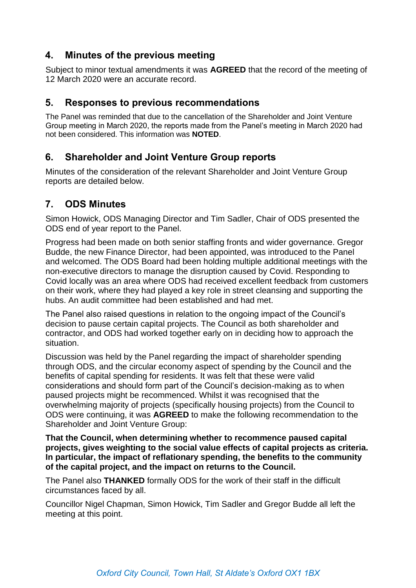## **4. Minutes of the previous meeting**

Subject to minor textual amendments it was **AGREED** that the record of the meeting of 12 March 2020 were an accurate record.

#### **5. Responses to previous recommendations**

The Panel was reminded that due to the cancellation of the Shareholder and Joint Venture Group meeting in March 2020, the reports made from the Panel's meeting in March 2020 had not been considered. This information was **NOTED**.

# **6. Shareholder and Joint Venture Group reports**

Minutes of the consideration of the relevant Shareholder and Joint Venture Group reports are detailed below.

# **7. ODS Minutes**

Simon Howick, ODS Managing Director and Tim Sadler, Chair of ODS presented the ODS end of year report to the Panel.

Progress had been made on both senior staffing fronts and wider governance. Gregor Budde, the new Finance Director, had been appointed, was introduced to the Panel and welcomed. The ODS Board had been holding multiple additional meetings with the non-executive directors to manage the disruption caused by Covid. Responding to Covid locally was an area where ODS had received excellent feedback from customers on their work, where they had played a key role in street cleansing and supporting the hubs. An audit committee had been established and had met.

The Panel also raised questions in relation to the ongoing impact of the Council's decision to pause certain capital projects. The Council as both shareholder and contractor, and ODS had worked together early on in deciding how to approach the situation.

Discussion was held by the Panel regarding the impact of shareholder spending through ODS, and the circular economy aspect of spending by the Council and the benefits of capital spending for residents. It was felt that these were valid considerations and should form part of the Council's decision-making as to when paused projects might be recommenced. Whilst it was recognised that the overwhelming majority of projects (specifically housing projects) from the Council to ODS were continuing, it was **AGREED** to make the following recommendation to the Shareholder and Joint Venture Group:

**That the Council, when determining whether to recommence paused capital projects, gives weighting to the social value effects of capital projects as criteria. In particular, the impact of reflationary spending, the benefits to the community of the capital project, and the impact on returns to the Council.**

The Panel also **THANKED** formally ODS for the work of their staff in the difficult circumstances faced by all.

Councillor Nigel Chapman, Simon Howick, Tim Sadler and Gregor Budde all left the meeting at this point.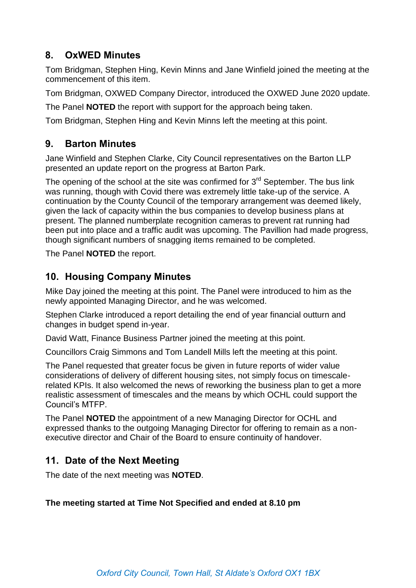# **8. OxWED Minutes**

Tom Bridgman, Stephen Hing, Kevin Minns and Jane Winfield joined the meeting at the commencement of this item.

Tom Bridgman, OXWED Company Director, introduced the OXWED June 2020 update.

The Panel **NOTED** the report with support for the approach being taken.

Tom Bridgman, Stephen Hing and Kevin Minns left the meeting at this point.

# **9. Barton Minutes**

Jane Winfield and Stephen Clarke, City Council representatives on the Barton LLP presented an update report on the progress at Barton Park.

The opening of the school at the site was confirmed for  $3<sup>rd</sup>$  September. The bus link was running, though with Covid there was extremely little take-up of the service. A continuation by the County Council of the temporary arrangement was deemed likely, given the lack of capacity within the bus companies to develop business plans at present. The planned numberplate recognition cameras to prevent rat running had been put into place and a traffic audit was upcoming. The Pavillion had made progress, though significant numbers of snagging items remained to be completed.

The Panel **NOTED** the report.

# **10. Housing Company Minutes**

Mike Day joined the meeting at this point. The Panel were introduced to him as the newly appointed Managing Director, and he was welcomed.

Stephen Clarke introduced a report detailing the end of year financial outturn and changes in budget spend in-year.

David Watt, Finance Business Partner joined the meeting at this point.

Councillors Craig Simmons and Tom Landell Mills left the meeting at this point.

The Panel requested that greater focus be given in future reports of wider value considerations of delivery of different housing sites, not simply focus on timescalerelated KPIs. It also welcomed the news of reworking the business plan to get a more realistic assessment of timescales and the means by which OCHL could support the Council's MTFP.

The Panel **NOTED** the appointment of a new Managing Director for OCHL and expressed thanks to the outgoing Managing Director for offering to remain as a nonexecutive director and Chair of the Board to ensure continuity of handover.

## **11. Date of the Next Meeting**

The date of the next meeting was **NOTED**.

#### **The meeting started at Time Not Specified and ended at 8.10 pm**